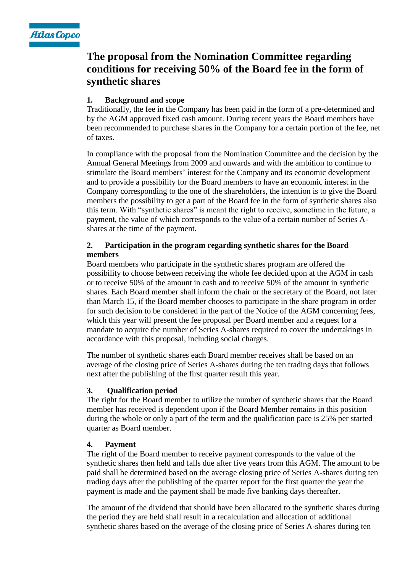

# **The proposal from the Nomination Committee regarding conditions for receiving 50% of the Board fee in the form of synthetic shares**

# **1. Background and scope**

Traditionally, the fee in the Company has been paid in the form of a pre-determined and by the AGM approved fixed cash amount. During recent years the Board members have been recommended to purchase shares in the Company for a certain portion of the fee, net of taxes.

In compliance with the proposal from the Nomination Committee and the decision by the Annual General Meetings from 2009 and onwards and with the ambition to continue to stimulate the Board members' interest for the Company and its economic development and to provide a possibility for the Board members to have an economic interest in the Company corresponding to the one of the shareholders, the intention is to give the Board members the possibility to get a part of the Board fee in the form of synthetic shares also this term. With "synthetic shares" is meant the right to receive, sometime in the future, a payment, the value of which corresponds to the value of a certain number of Series Ashares at the time of the payment.

# **2. Participation in the program regarding synthetic shares for the Board members**

Board members who participate in the synthetic shares program are offered the possibility to choose between receiving the whole fee decided upon at the AGM in cash or to receive 50% of the amount in cash and to receive 50% of the amount in synthetic shares. Each Board member shall inform the chair or the secretary of the Board, not later than March 15, if the Board member chooses to participate in the share program in order for such decision to be considered in the part of the Notice of the AGM concerning fees, which this year will present the fee proposal per Board member and a request for a mandate to acquire the number of Series A-shares required to cover the undertakings in accordance with this proposal, including social charges.

The number of synthetic shares each Board member receives shall be based on an average of the closing price of Series A-shares during the ten trading days that follows next after the publishing of the first quarter result this year.

# **3. Qualification period**

The right for the Board member to utilize the number of synthetic shares that the Board member has received is dependent upon if the Board Member remains in this position during the whole or only a part of the term and the qualification pace is 25% per started quarter as Board member.

## **4. Payment**

The right of the Board member to receive payment corresponds to the value of the synthetic shares then held and falls due after five years from this AGM. The amount to be paid shall be determined based on the average closing price of Series A-shares during ten trading days after the publishing of the quarter report for the first quarter the year the payment is made and the payment shall be made five banking days thereafter.

The amount of the dividend that should have been allocated to the synthetic shares during the period they are held shall result in a recalculation and allocation of additional synthetic shares based on the average of the closing price of Series A-shares during ten